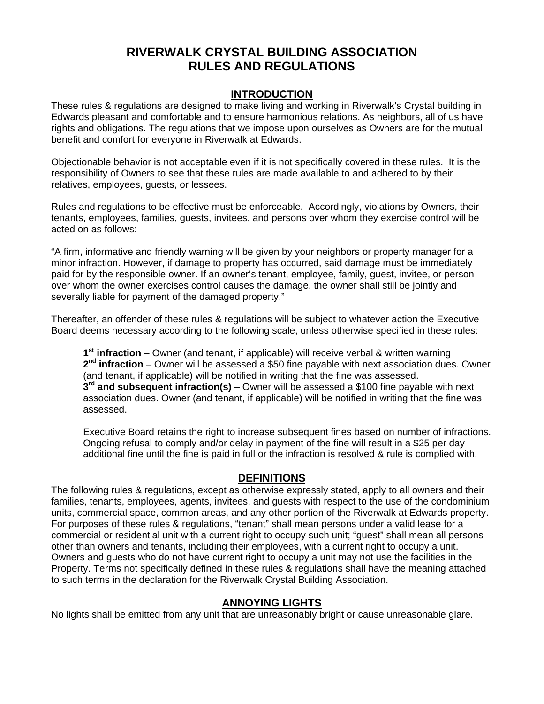# **RIVERWALK CRYSTAL BUILDING ASSOCIATION RULES AND REGULATIONS**

#### **INTRODUCTION**

These rules & regulations are designed to make living and working in Riverwalk's Crystal building in Edwards pleasant and comfortable and to ensure harmonious relations. As neighbors, all of us have rights and obligations. The regulations that we impose upon ourselves as Owners are for the mutual benefit and comfort for everyone in Riverwalk at Edwards.

Objectionable behavior is not acceptable even if it is not specifically covered in these rules. It is the responsibility of Owners to see that these rules are made available to and adhered to by their relatives, employees, guests, or lessees.

Rules and regulations to be effective must be enforceable. Accordingly, violations by Owners, their tenants, employees, families, guests, invitees, and persons over whom they exercise control will be acted on as follows:

"A firm, informative and friendly warning will be given by your neighbors or property manager for a minor infraction. However, if damage to property has occurred, said damage must be immediately paid for by the responsible owner. If an owner's tenant, employee, family, guest, invitee, or person over whom the owner exercises control causes the damage, the owner shall still be jointly and severally liable for payment of the damaged property."

Thereafter, an offender of these rules & regulations will be subject to whatever action the Executive Board deems necessary according to the following scale, unless otherwise specified in these rules:

**1st infraction** – Owner (and tenant, if applicable) will receive verbal & written warning **2nd infraction** – Owner will be assessed a \$50 fine payable with next association dues. Owner (and tenant, if applicable) will be notified in writing that the fine was assessed. **3rd and subsequent infraction(s)** – Owner will be assessed a \$100 fine payable with next association dues. Owner (and tenant, if applicable) will be notified in writing that the fine was assessed.

Executive Board retains the right to increase subsequent fines based on number of infractions. Ongoing refusal to comply and/or delay in payment of the fine will result in a \$25 per day additional fine until the fine is paid in full or the infraction is resolved & rule is complied with.

#### **DEFINITIONS**

The following rules & regulations, except as otherwise expressly stated, apply to all owners and their families, tenants, employees, agents, invitees, and guests with respect to the use of the condominium units, commercial space, common areas, and any other portion of the Riverwalk at Edwards property. For purposes of these rules & regulations, "tenant" shall mean persons under a valid lease for a commercial or residential unit with a current right to occupy such unit; "guest" shall mean all persons other than owners and tenants, including their employees, with a current right to occupy a unit. Owners and guests who do not have current right to occupy a unit may not use the facilities in the Property. Terms not specifically defined in these rules & regulations shall have the meaning attached to such terms in the declaration for the Riverwalk Crystal Building Association.

#### **ANNOYING LIGHTS**

No lights shall be emitted from any unit that are unreasonably bright or cause unreasonable glare.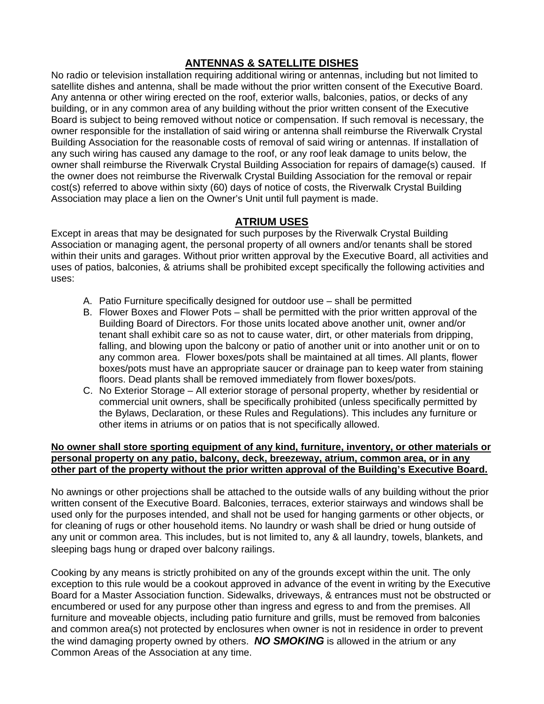# **ANTENNAS & SATELLITE DISHES**

No radio or television installation requiring additional wiring or antennas, including but not limited to satellite dishes and antenna, shall be made without the prior written consent of the Executive Board. Any antenna or other wiring erected on the roof, exterior walls, balconies, patios, or decks of any building, or in any common area of any building without the prior written consent of the Executive Board is subject to being removed without notice or compensation. If such removal is necessary, the owner responsible for the installation of said wiring or antenna shall reimburse the Riverwalk Crystal Building Association for the reasonable costs of removal of said wiring or antennas. If installation of any such wiring has caused any damage to the roof, or any roof leak damage to units below, the owner shall reimburse the Riverwalk Crystal Building Association for repairs of damage(s) caused. If the owner does not reimburse the Riverwalk Crystal Building Association for the removal or repair cost(s) referred to above within sixty (60) days of notice of costs, the Riverwalk Crystal Building Association may place a lien on the Owner's Unit until full payment is made.

# **ATRIUM USES**

Except in areas that may be designated for such purposes by the Riverwalk Crystal Building Association or managing agent, the personal property of all owners and/or tenants shall be stored within their units and garages. Without prior written approval by the Executive Board, all activities and uses of patios, balconies, & atriums shall be prohibited except specifically the following activities and uses:

- A. Patio Furniture specifically designed for outdoor use shall be permitted
- B. Flower Boxes and Flower Pots shall be permitted with the prior written approval of the Building Board of Directors. For those units located above another unit, owner and/or tenant shall exhibit care so as not to cause water, dirt, or other materials from dripping, falling, and blowing upon the balcony or patio of another unit or into another unit or on to any common area. Flower boxes/pots shall be maintained at all times. All plants, flower boxes/pots must have an appropriate saucer or drainage pan to keep water from staining floors. Dead plants shall be removed immediately from flower boxes/pots.
- C. No Exterior Storage All exterior storage of personal property, whether by residential or commercial unit owners, shall be specifically prohibited (unless specifically permitted by the Bylaws, Declaration, or these Rules and Regulations). This includes any furniture or other items in atriums or on patios that is not specifically allowed.

#### **No owner shall store sporting equipment of any kind, furniture, inventory, or other materials or personal property on any patio, balcony, deck, breezeway, atrium, common area, or in any other part of the property without the prior written approval of the Building's Executive Board.**

No awnings or other projections shall be attached to the outside walls of any building without the prior written consent of the Executive Board. Balconies, terraces, exterior stairways and windows shall be used only for the purposes intended, and shall not be used for hanging garments or other objects, or for cleaning of rugs or other household items. No laundry or wash shall be dried or hung outside of any unit or common area. This includes, but is not limited to, any & all laundry, towels, blankets, and sleeping bags hung or draped over balcony railings.

Cooking by any means is strictly prohibited on any of the grounds except within the unit. The only exception to this rule would be a cookout approved in advance of the event in writing by the Executive Board for a Master Association function. Sidewalks, driveways, & entrances must not be obstructed or encumbered or used for any purpose other than ingress and egress to and from the premises. All furniture and moveable objects, including patio furniture and grills, must be removed from balconies and common area(s) not protected by enclosures when owner is not in residence in order to prevent the wind damaging property owned by others. *NO SMOKING* is allowed in the atrium or any Common Areas of the Association at any time.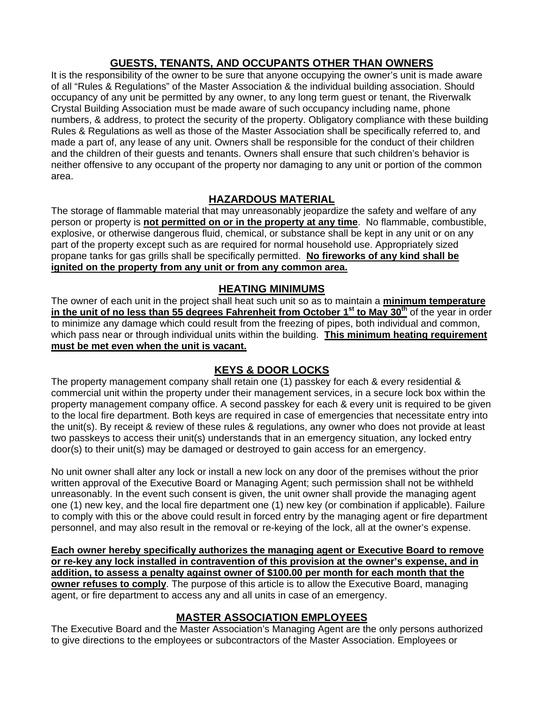# **GUESTS, TENANTS, AND OCCUPANTS OTHER THAN OWNERS**

It is the responsibility of the owner to be sure that anyone occupying the owner's unit is made aware of all "Rules & Regulations" of the Master Association & the individual building association. Should occupancy of any unit be permitted by any owner, to any long term guest or tenant, the Riverwalk Crystal Building Association must be made aware of such occupancy including name, phone numbers, & address, to protect the security of the property. Obligatory compliance with these building Rules & Regulations as well as those of the Master Association shall be specifically referred to, and made a part of, any lease of any unit. Owners shall be responsible for the conduct of their children and the children of their guests and tenants. Owners shall ensure that such children's behavior is neither offensive to any occupant of the property nor damaging to any unit or portion of the common area.

# **HAZARDOUS MATERIAL**

The storage of flammable material that may unreasonably jeopardize the safety and welfare of any person or property is **not permitted on or in the property at any time**. No flammable, combustible, explosive, or otherwise dangerous fluid, chemical, or substance shall be kept in any unit or on any part of the property except such as are required for normal household use. Appropriately sized propane tanks for gas grills shall be specifically permitted. **No fireworks of any kind shall be ignited on the property from any unit or from any common area.**

### **HEATING MINIMUMS**

The owner of each unit in the project shall heat such unit so as to maintain a **minimum temperature**  in the unit of no less than 55 degrees Fahrenheit from October 1<sup>st</sup> to May 30<sup>th</sup> of the year in order to minimize any damage which could result from the freezing of pipes, both individual and common, which pass near or through individual units within the building. **This minimum heating requirement must be met even when the unit is vacant.** 

# **KEYS & DOOR LOCKS**

The property management company shall retain one (1) passkey for each & every residential & commercial unit within the property under their management services, in a secure lock box within the property management company office. A second passkey for each & every unit is required to be given to the local fire department. Both keys are required in case of emergencies that necessitate entry into the unit(s). By receipt & review of these rules & regulations, any owner who does not provide at least two passkeys to access their unit(s) understands that in an emergency situation, any locked entry door(s) to their unit(s) may be damaged or destroyed to gain access for an emergency.

No unit owner shall alter any lock or install a new lock on any door of the premises without the prior written approval of the Executive Board or Managing Agent; such permission shall not be withheld unreasonably. In the event such consent is given, the unit owner shall provide the managing agent one (1) new key, and the local fire department one (1) new key (or combination if applicable). Failure to comply with this or the above could result in forced entry by the managing agent or fire department personnel, and may also result in the removal or re-keying of the lock, all at the owner's expense.

**Each owner hereby specifically authorizes the managing agent or Executive Board to remove or re-key any lock installed in contravention of this provision at the owner's expense, and in addition, to assess a penalty against owner of \$100.00 per month for each month that the owner refuses to comply**. The purpose of this article is to allow the Executive Board, managing agent, or fire department to access any and all units in case of an emergency.

### **MASTER ASSOCIATION EMPLOYEES**

The Executive Board and the Master Association's Managing Agent are the only persons authorized to give directions to the employees or subcontractors of the Master Association. Employees or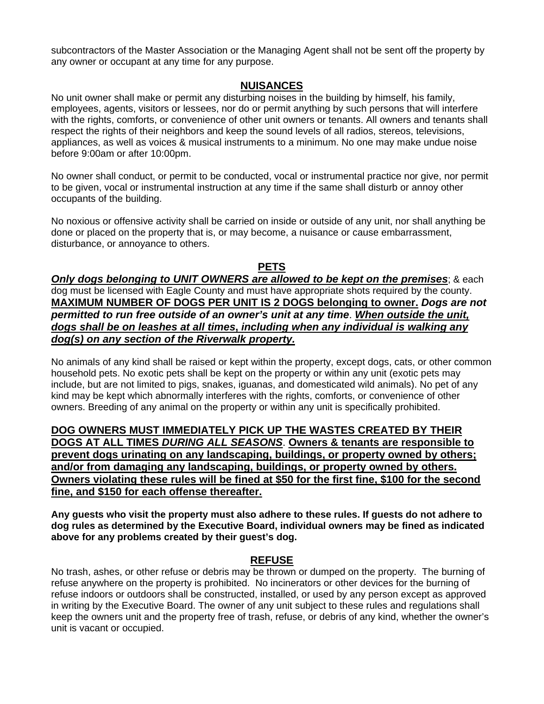subcontractors of the Master Association or the Managing Agent shall not be sent off the property by any owner or occupant at any time for any purpose.

#### **NUISANCES**

No unit owner shall make or permit any disturbing noises in the building by himself, his family, employees, agents, visitors or lessees, nor do or permit anything by such persons that will interfere with the rights, comforts, or convenience of other unit owners or tenants. All owners and tenants shall respect the rights of their neighbors and keep the sound levels of all radios, stereos, televisions, appliances, as well as voices & musical instruments to a minimum. No one may make undue noise before 9:00am or after 10:00pm.

No owner shall conduct, or permit to be conducted, vocal or instrumental practice nor give, nor permit to be given, vocal or instrumental instruction at any time if the same shall disturb or annoy other occupants of the building.

No noxious or offensive activity shall be carried on inside or outside of any unit, nor shall anything be done or placed on the property that is, or may become, a nuisance or cause embarrassment, disturbance, or annoyance to others.

#### **PETS**

*Only dogs belonging to UNIT OWNERS are allowed to be kept on the premises*; & each dog must be licensed with Eagle County and must have appropriate shots required by the county. **MAXIMUM NUMBER OF DOGS PER UNIT IS 2 DOGS belonging to owner.** *Dogs are not permitted to run free outside of an owner's unit at any time*. *When outside the unit, dogs shall be on leashes at all times***,** *including when any individual is walking any dog(s) on any section of the Riverwalk property.* 

No animals of any kind shall be raised or kept within the property, except dogs, cats, or other common household pets. No exotic pets shall be kept on the property or within any unit (exotic pets may include, but are not limited to pigs, snakes, iguanas, and domesticated wild animals). No pet of any kind may be kept which abnormally interferes with the rights, comforts, or convenience of other owners. Breeding of any animal on the property or within any unit is specifically prohibited.

**DOG OWNERS MUST IMMEDIATELY PICK UP THE WASTES CREATED BY THEIR DOGS AT ALL TIMES** *DURING ALL SEASONS*. **Owners & tenants are responsible to prevent dogs urinating on any landscaping, buildings, or property owned by others; and/or from damaging any landscaping, buildings, or property owned by others. Owners violating these rules will be fined at \$50 for the first fine, \$100 for the second fine, and \$150 for each offense thereafter.**

**Any guests who visit the property must also adhere to these rules. If guests do not adhere to dog rules as determined by the Executive Board, individual owners may be fined as indicated above for any problems created by their guest's dog.** 

### **REFUSE**

No trash, ashes, or other refuse or debris may be thrown or dumped on the property. The burning of refuse anywhere on the property is prohibited. No incinerators or other devices for the burning of refuse indoors or outdoors shall be constructed, installed, or used by any person except as approved in writing by the Executive Board. The owner of any unit subject to these rules and regulations shall keep the owners unit and the property free of trash, refuse, or debris of any kind, whether the owner's unit is vacant or occupied.